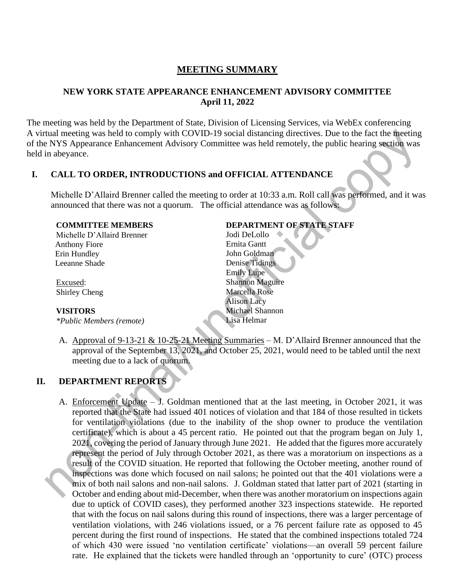## **MEETING SUMMARY**

### **NEW YORK STATE APPEARANCE ENHANCEMENT ADVISORY COMMITTEE April 11, 2022**

The meeting was held by the Department of State, Division of Licensing Services, via WebEx conferencing A virtual meeting was held to comply with COVID-19 social distancing directives. Due to the fact the meeting of the NYS Appearance Enhancement Advisory Committee was held remotely, the public hearing section was held in abeyance.

#### **I. CALL TO ORDER, INTRODUCTIONS and OFFICIAL ATTENDANCE**

Michelle D'Allaird Brenner called the meeting to order at 10:33 a.m. Roll call was performed, and it was announced that there was not a quorum. The official attendance was as follows:

| <b>COMMITTEE MEMBERS</b> |  |  |
|--------------------------|--|--|
|--------------------------|--|--|

Michelle D'Allaird Brenner Anthony Fiore Erin Hundley Leeanne Shade

Excused: Shirley Cheng

#### **VISITORS**

*\*Public Members (remote)*

#### **DEPARTMENT OF STATE STAFF**

Jodi DeLollo Ernita Gantt John Goldman Denise Tidings Emily Lupe Shannon Maguire Marcella Rose Alison Lacy Michael Shannon Lisa Helmar

A. Approval of 9-13-21 & 10-25-21 Meeting Summaries – M. D'Allaird Brenner announced that the approval of the September 13, 2021, and October 25, 2021, would need to be tabled until the next meeting due to a lack of quorum.

## **II. DEPARTMENT REPORTS**

A. Enforcement Update – J. Goldman mentioned that at the last meeting, in October 2021, it was reported that the State had issued 401 notices of violation and that 184 of those resulted in tickets for ventilation violations (due to the inability of the shop owner to produce the ventilation certificate), which is about a 45 percent ratio. He pointed out that the program began on July 1, 2021, covering the period of January through June 2021. He added that the figures more accurately represent the period of July through October 2021, as there was a moratorium on inspections as a result of the COVID situation. He reported that following the October meeting, another round of inspections was done which focused on nail salons; he pointed out that the 401 violations were a mix of both nail salons and non-nail salons. J. Goldman stated that latter part of 2021 (starting in October and ending about mid-December, when there was another moratorium on inspections again due to uptick of COVID cases), they performed another 323 inspections statewide. He reported that with the focus on nail salons during this round of inspections, there was a larger percentage of ventilation violations, with 246 violations issued, or a 76 percent failure rate as opposed to 45 percent during the first round of inspections. He stated that the combined inspections totaled 724 of which 430 were issued 'no ventilation certificate' violations—an overall 59 percent failure rate. He explained that the tickets were handled through an 'opportunity to cure' (OTC) process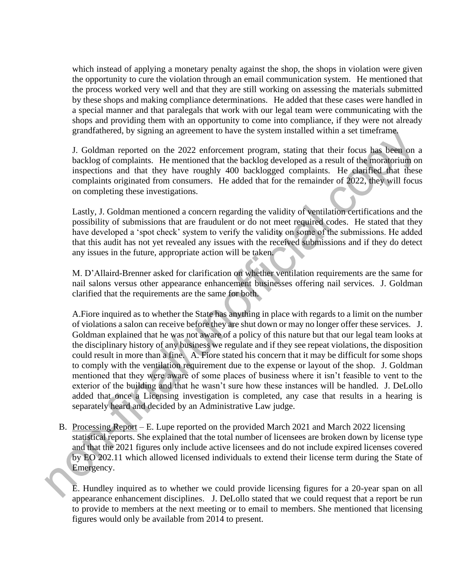which instead of applying a monetary penalty against the shop, the shops in violation were given the opportunity to cure the violation through an email communication system. He mentioned that the process worked very well and that they are still working on assessing the materials submitted by these shops and making compliance determinations. He added that these cases were handled in a special manner and that paralegals that work with our legal team were communicating with the shops and providing them with an opportunity to come into compliance, if they were not already grandfathered, by signing an agreement to have the system installed within a set timeframe.

J. Goldman reported on the 2022 enforcement program, stating that their focus has been on a backlog of complaints. He mentioned that the backlog developed as a result of the moratorium on inspections and that they have roughly 400 backlogged complaints. He clarified that these complaints originated from consumers. He added that for the remainder of 2022, they will focus on completing these investigations.

Lastly, J. Goldman mentioned a concern regarding the validity of ventilation certifications and the possibility of submissions that are fraudulent or do not meet required codes. He stated that they have developed a 'spot check' system to verify the validity on some of the submissions. He added that this audit has not yet revealed any issues with the received submissions and if they do detect any issues in the future, appropriate action will be taken.

M. D'Allaird-Brenner asked for clarification on whether ventilation requirements are the same for nail salons versus other appearance enhancement businesses offering nail services. J. Goldman clarified that the requirements are the same for both.

A.Fiore inquired as to whether the State has anything in place with regards to a limit on the number of violations a salon can receive before they are shut down or may no longer offer these services. J. Goldman explained that he was not aware of a policy of this nature but that our legal team looks at the disciplinary history of any business we regulate and if they see repeat violations, the disposition could result in more than a fine. A. Fiore stated his concern that it may be difficult for some shops to comply with the ventilation requirement due to the expense or layout of the shop. J. Goldman mentioned that they were aware of some places of business where it isn't feasible to vent to the exterior of the building and that he wasn't sure how these instances will be handled. J. DeLollo added that once a Licensing investigation is completed, any case that results in a hearing is separately heard and decided by an Administrative Law judge.

B. Processing Report – E. Lupe reported on the provided March 2021 and March 2022 licensing statistical reports. She explained that the total number of licensees are broken down by license type and that the 2021 figures only include active licensees and do not include expired licenses covered by EO 202.11 which allowed licensed individuals to extend their license term during the State of Emergency.

E. Hundley inquired as to whether we could provide licensing figures for a 20-year span on all appearance enhancement disciplines. J. DeLollo stated that we could request that a report be run to provide to members at the next meeting or to email to members. She mentioned that licensing figures would only be available from 2014 to present.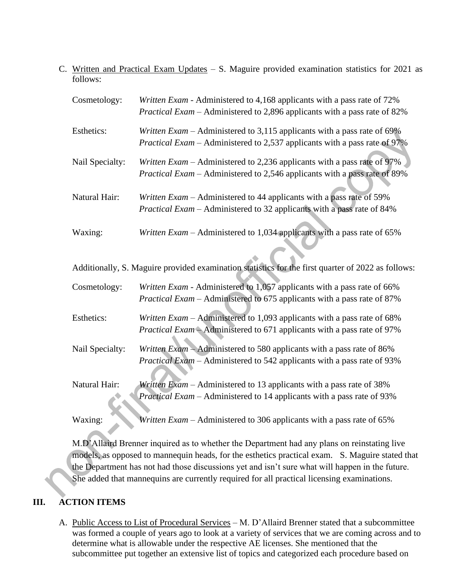C. Written and Practical Exam Updates – S. Maguire provided examination statistics for 2021 as follows:

| Cosmetology:    | Written Exam - Administered to 4,168 applicants with a pass rate of 72%<br><i>Practical Exam – Administered to 2,896 applicants with a pass rate of 82%</i>   |
|-----------------|---------------------------------------------------------------------------------------------------------------------------------------------------------------|
| Esthetics:      | Written $Exam -$ Administered to 3,115 applicants with a pass rate of 69%<br><i>Practical Exam – Administered to 2,537 applicants with a pass rate of 97%</i> |
| Nail Specialty: | Written $Exam -$ Administered to 2,236 applicants with a pass rate of 97%<br><i>Practical Exam – Administered to 2,546 applicants with a pass rate of 89%</i> |
| Natural Hair:   | Written Exam – Administered to 44 applicants with a pass rate of 59%<br><i>Practical Exam</i> – Administered to 32 applicants with a pass rate of 84%         |
| Waxing:         | Written $Exam -$ Administered to 1,034 applicants with a pass rate of 65%                                                                                     |

Additionally, S. Maguire provided examination statistics for the first quarter of 2022 as follows:

| Cosmetology:    | Written Exam - Administered to 1,057 applicants with a pass rate of 66%        |
|-----------------|--------------------------------------------------------------------------------|
|                 | <i>Practical Exam – Administered to 675 applicants with a pass rate of 87%</i> |
| Esthetics:      | Written Exam - Administered to 1,093 applicants with a pass rate of 68%        |
|                 | <i>Practical Exam</i> – Administered to 671 applicants with a pass rate of 97% |
| Nail Specialty: | Written Exam - Administered to 580 applicants with a pass rate of 86%          |
|                 | <i>Practical Exam</i> – Administered to 542 applicants with a pass rate of 93% |
| Natural Hair:   | Written Exam – Administered to 13 applicants with a pass rate of 38%           |
|                 | <i>Practical Exam – Administered to 14 applicants with a pass rate of 93%</i>  |
| Waxing:         | Written $Exam -$ Administered to 306 applicants with a pass rate of 65%        |

M.D'Allaird Brenner inquired as to whether the Department had any plans on reinstating live models, as opposed to mannequin heads, for the esthetics practical exam. S. Maguire stated that the Department has not had those discussions yet and isn't sure what will happen in the future. She added that mannequins are currently required for all practical licensing examinations.

# **III. ACTION ITEMS**

A. Public Access to List of Procedural Services – M. D'Allaird Brenner stated that a subcommittee was formed a couple of years ago to look at a variety of services that we are coming across and to determine what is allowable under the respective AE licenses. She mentioned that the subcommittee put together an extensive list of topics and categorized each procedure based on